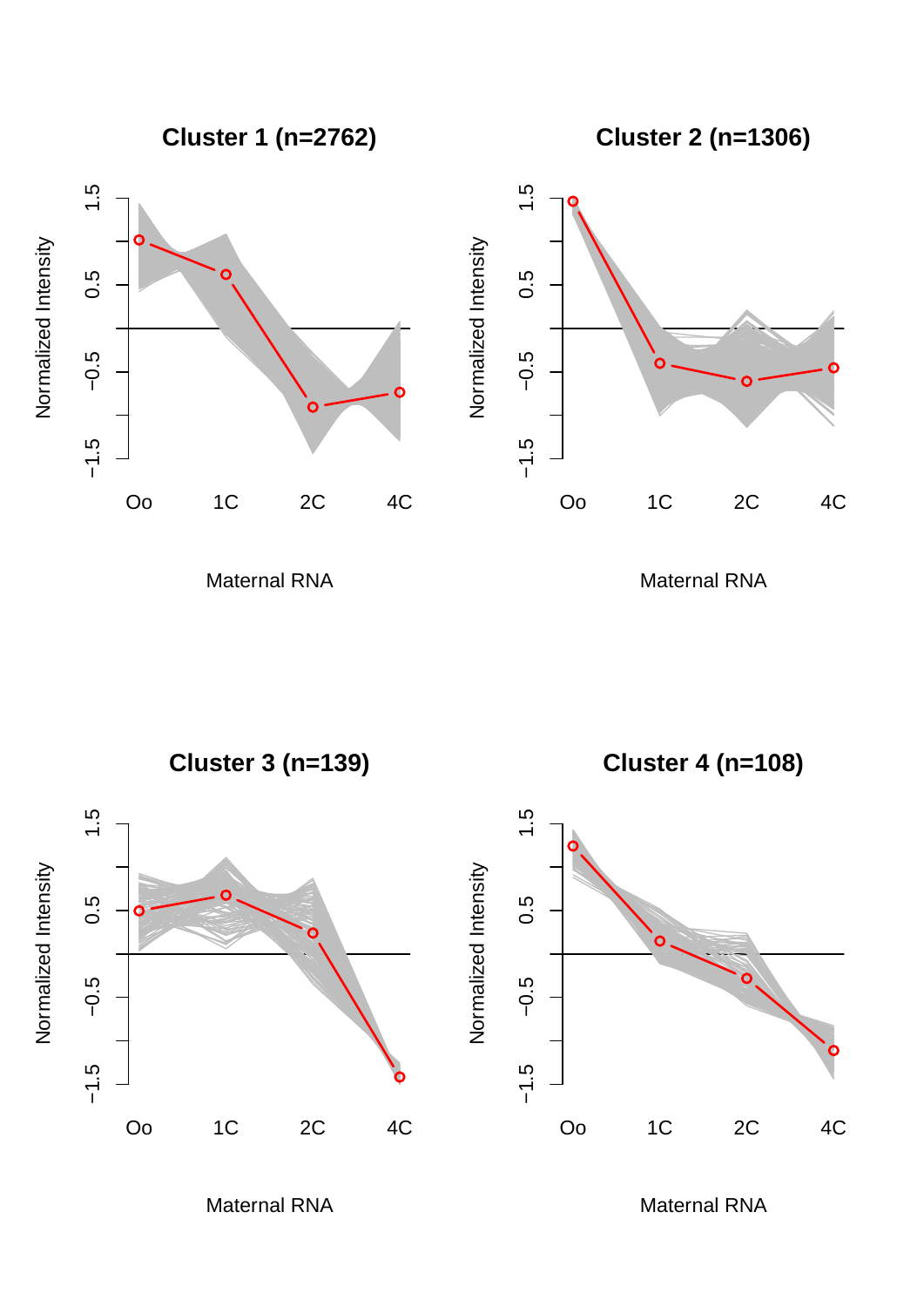**Cluster 1 (n=2762)**

**Cluster 2 (n=1306)**





Maternal RNA

Maternal RNA



Maternal RNA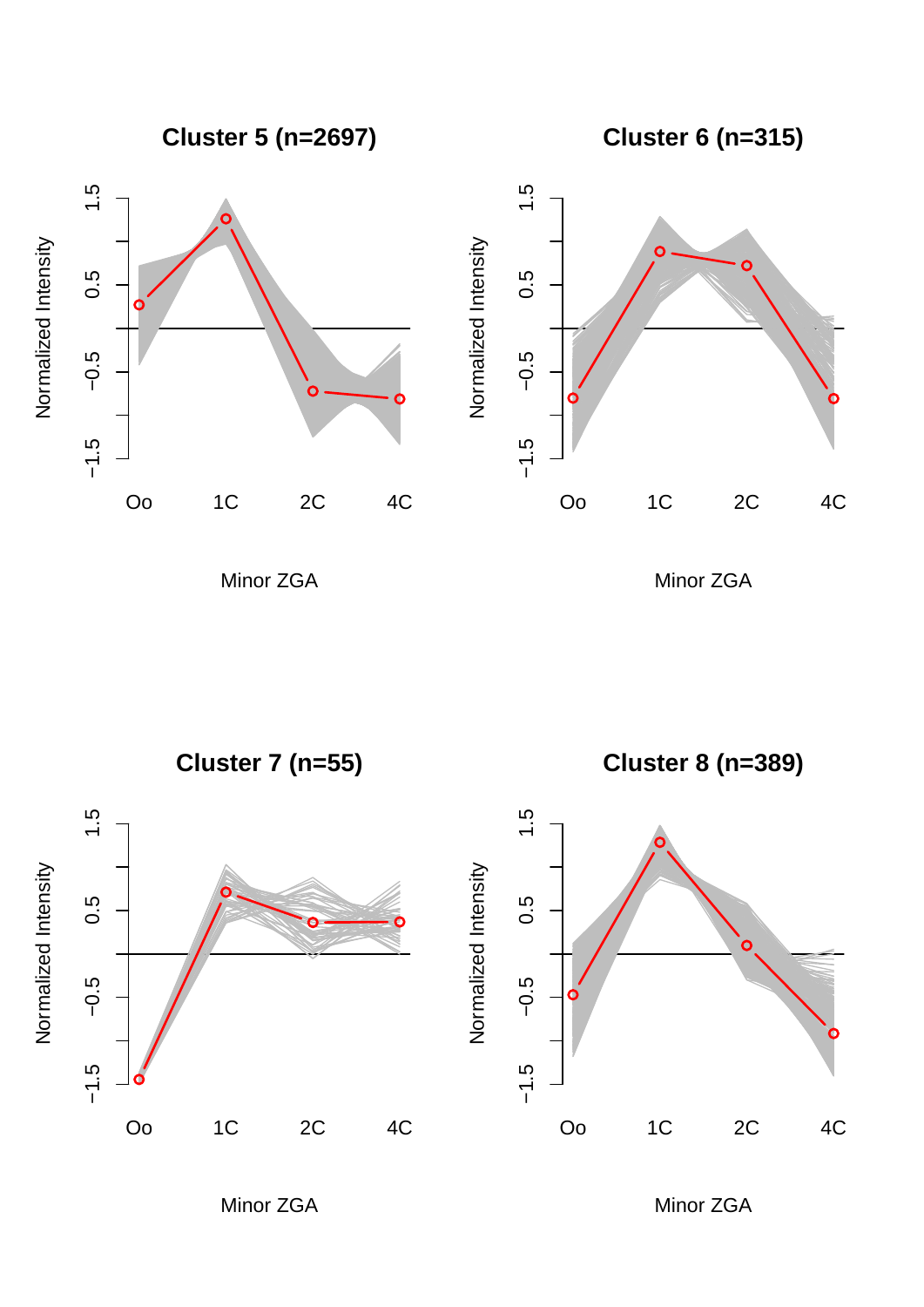**Cluster 5 (n=2697)**

**Cluster 6 (n=315)**





Minor ZGA

Minor ZGA



Minor ZGA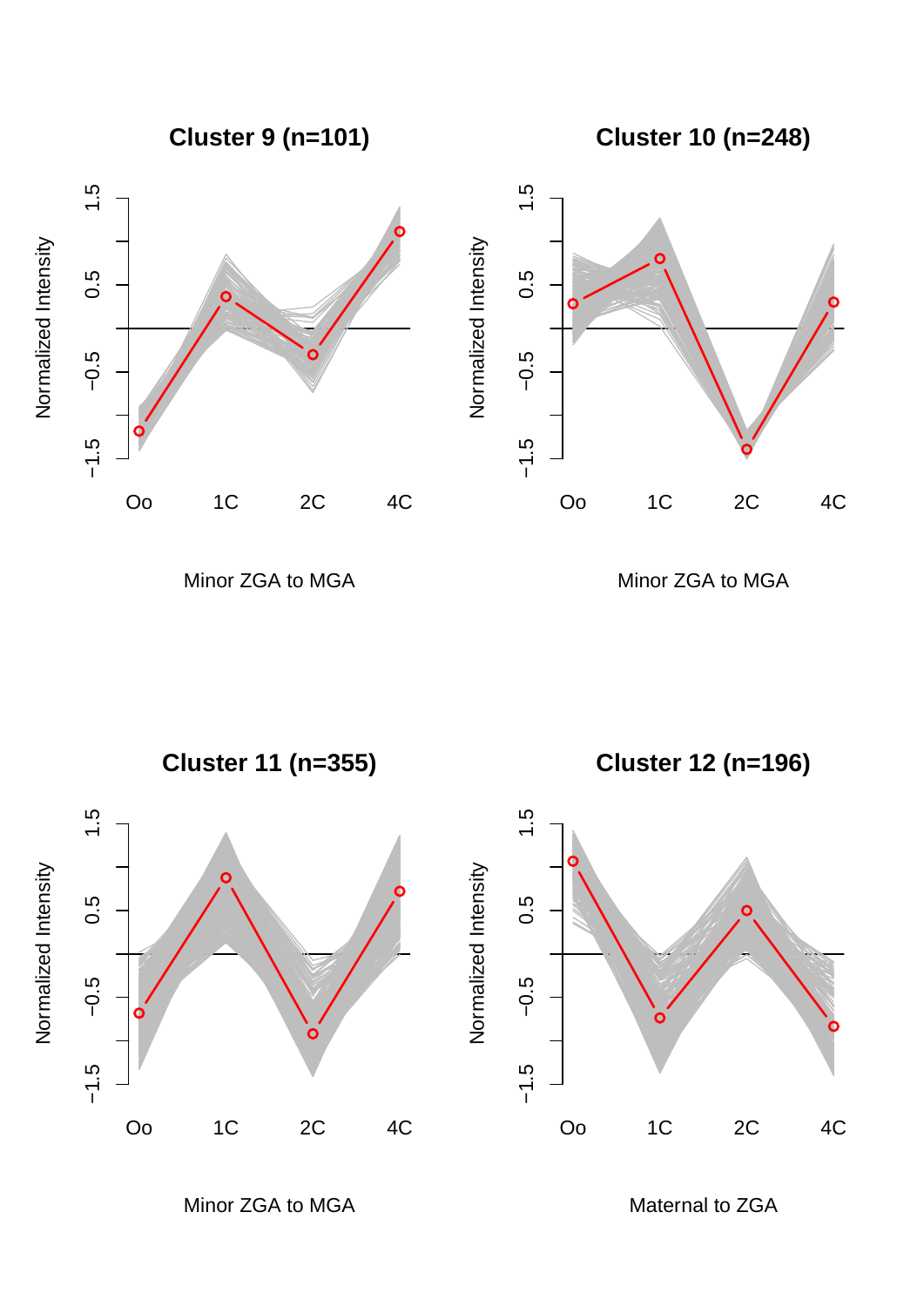**Cluster 9 (n=101)**

**Cluster 10 (n=248)**





Minor ZGA to MGA

Minor ZGA to MGA



Minor ZGA to MGA

Maternal to ZGA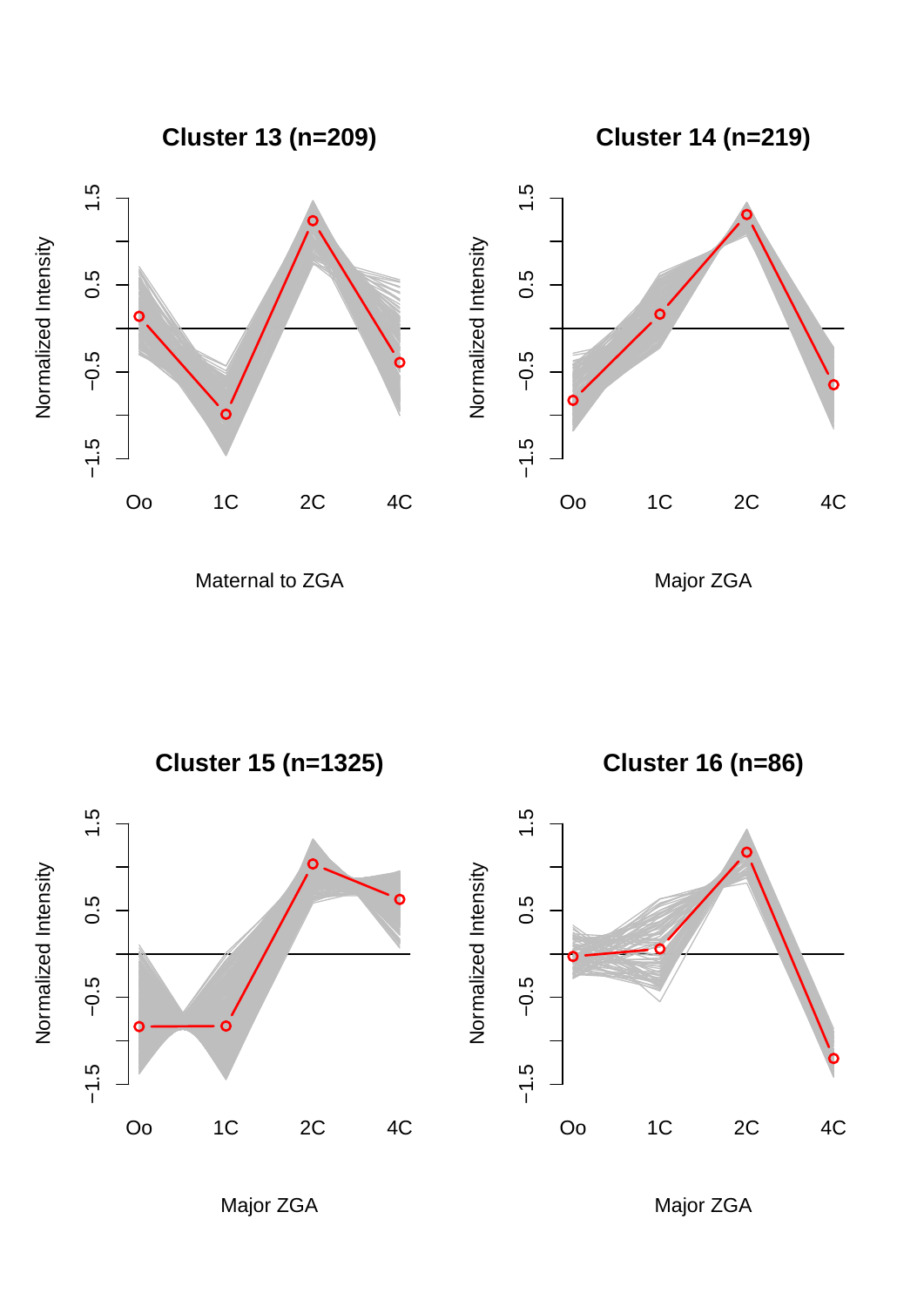

Maternal to ZGA

Major ZGA



Major ZGA

Major ZGA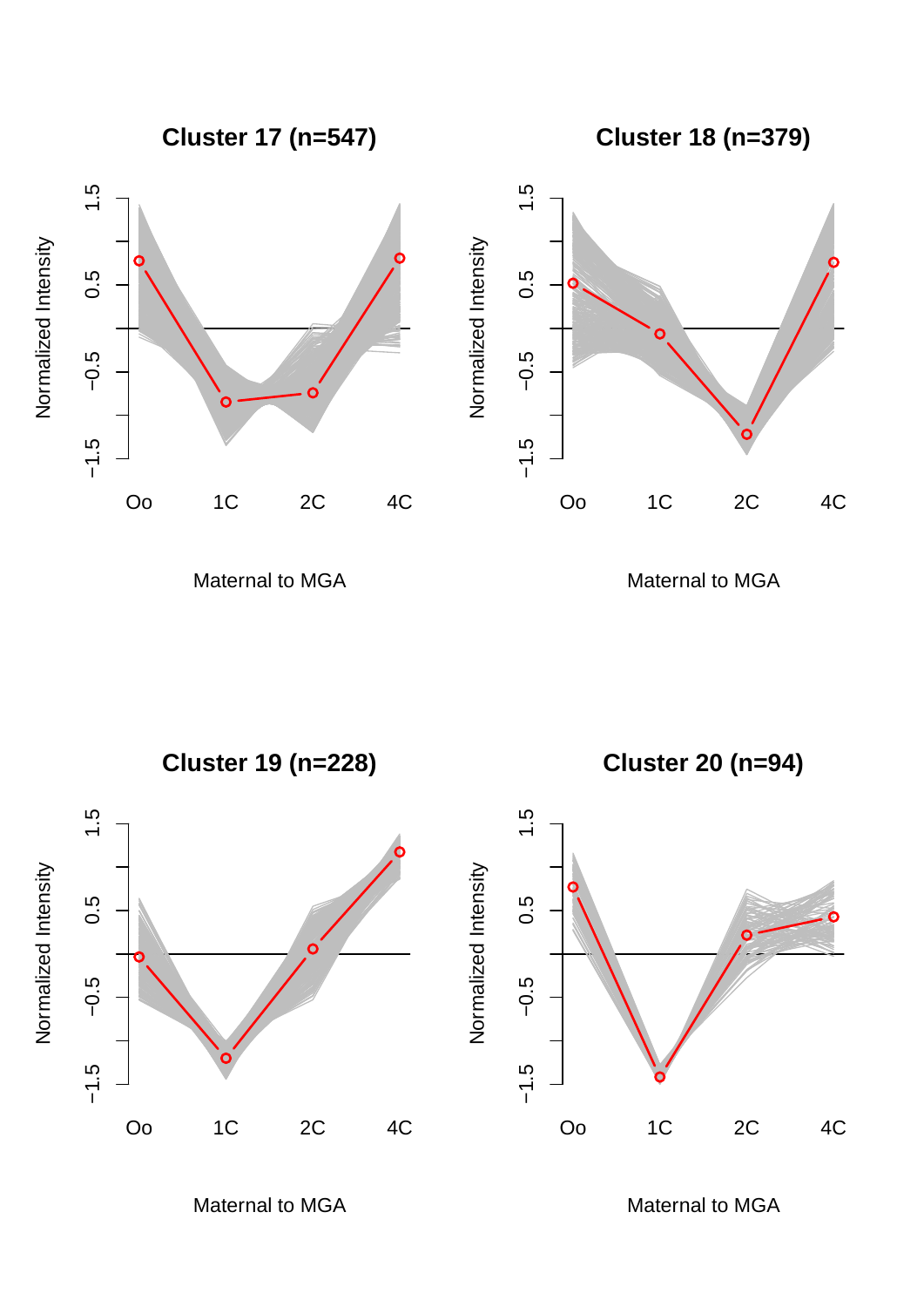

Maternal to MGA

Maternal to MGA



Maternal to MGA

Maternal to MGA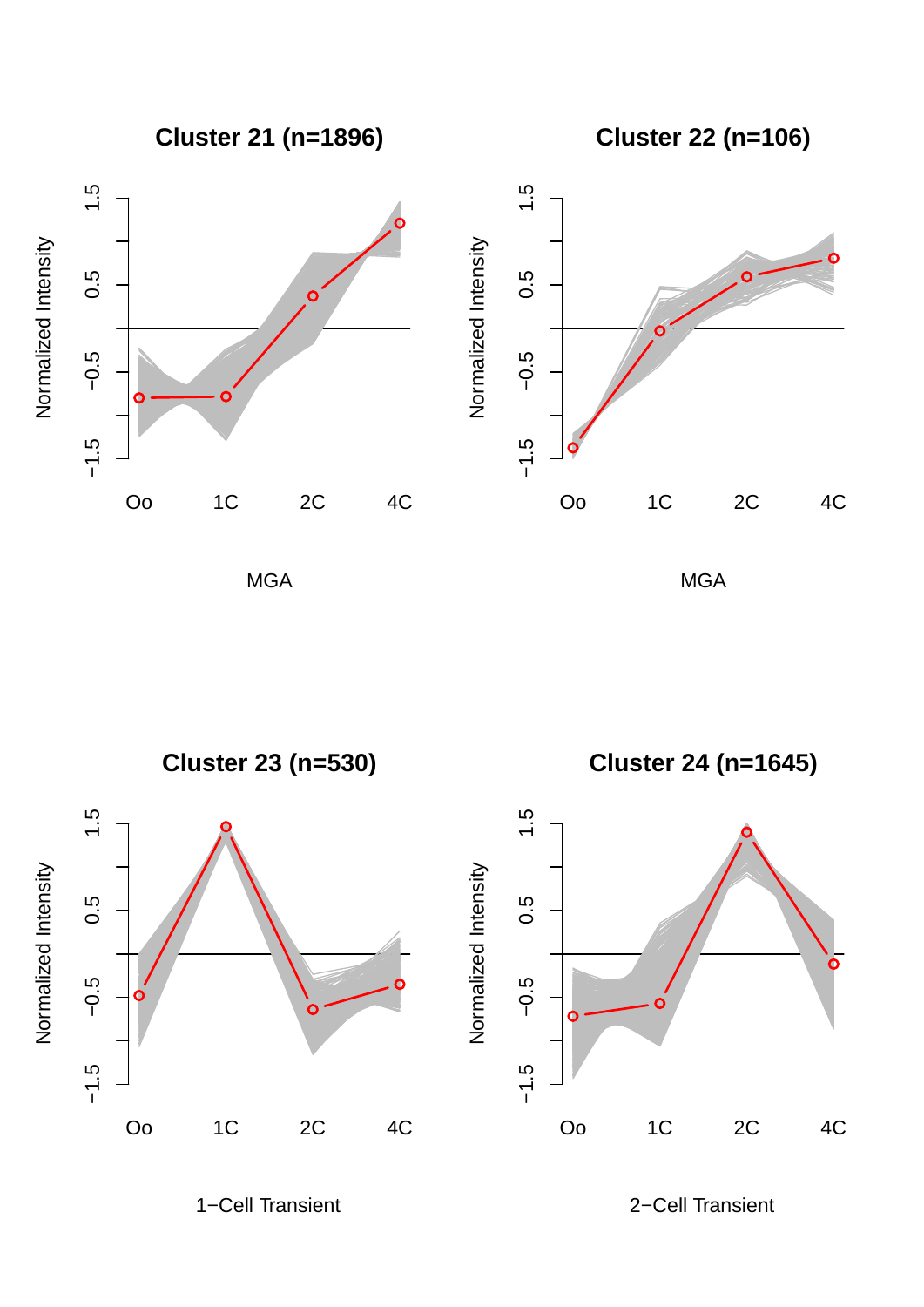

**Cluster 22 (n=106)**



MGA





1−Cell Transient

2−Cell Transient